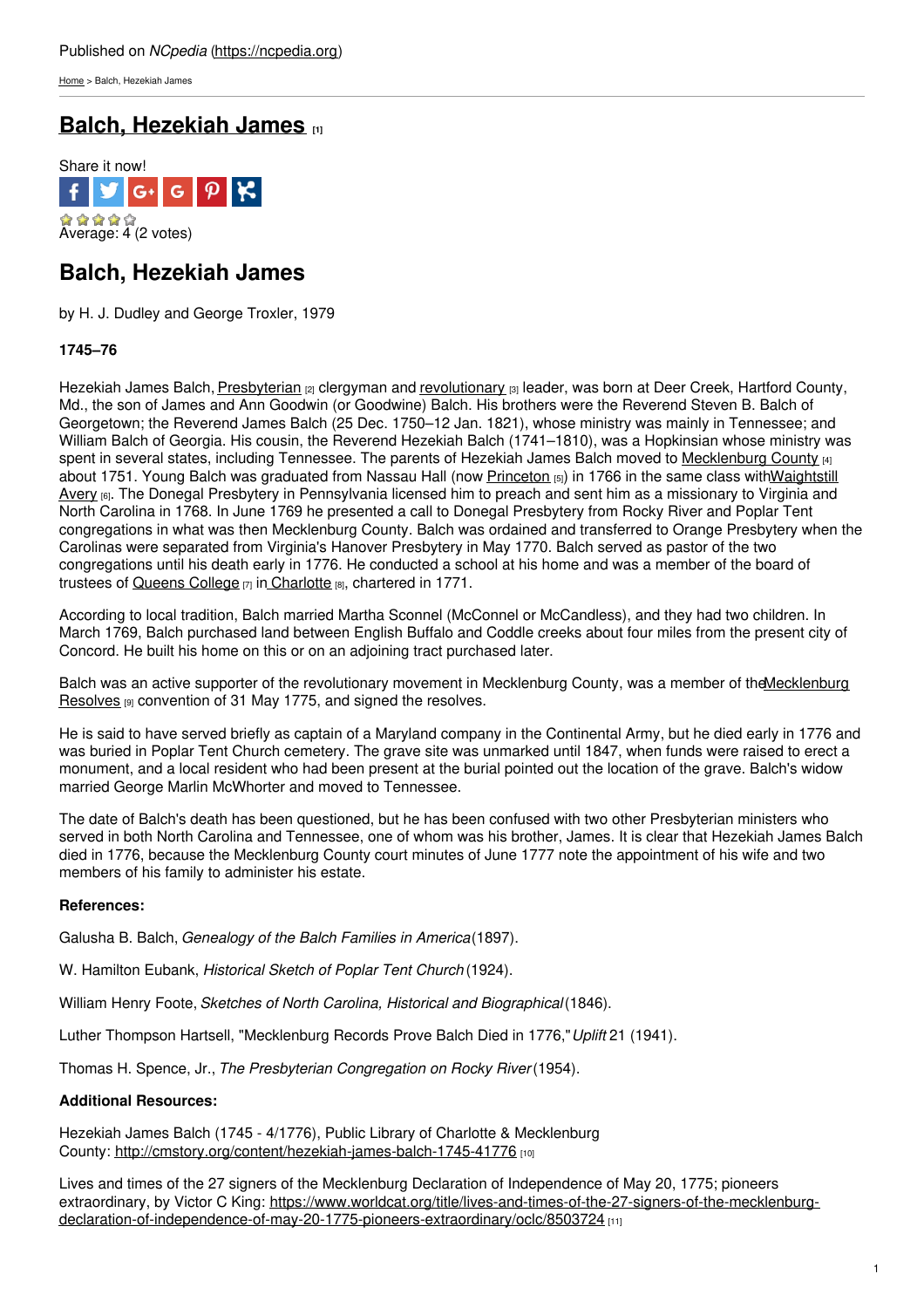[Home](https://ncpedia.org/) > Balch, Hezekiah James

# **Balch, [Hezekiah](https://ncpedia.org/biography/balch-hezekiah-james) James [1]**



# **Balch, Hezekiah James**

by H. J. Dudley and George Troxler, 1979

### **1745–76**

Hezekiah James Balch, [Presbyterian](https://ncpedia.org/presbyterian-church-0) <sub>[2]</sub> clergyman and [revolutionary](https://ncpedia.org/american-revolution) [3] leader, was born at Deer Creek, Hartford County, Md., the son of James and Ann Goodwin (or [Goodwine\)](http://www.social9.com) Balch. His brothers were the Reverend Steven B. Balch of Georgetown; the Reverend James Balch (25 Dec. 1750–12 Jan. 1821), whose ministry was mainly in Tennessee; and William Balch of Georgia. His cousin, the Reverend Hezekiah Balch (1741–1810), was a Hopkinsian whose ministry was spent in several states, including Tennessee. The parents of Hezekiah James Balch moved to [Mecklenburg](https://ncpedia.org/geography/mecklenburg) County [4] about 1751. Young Balch was graduated from Nassau Hall (now [Princeton](http://www.princeton.edu/) [5]) in 1766 in the same class [withWaightstill](https://ncpedia.org/biography/avery-waightstill) Avery [6]. The Donegal Presbytery in Pennsylvania licensed him to preach and sent him as a missionary to Virginia and North Carolina in 1768. In June 1769 he presented a call to Donegal Presbytery from Rocky River and Poplar Tent congregations in what was then Mecklenburg County. Balch was ordained and transferred to Orange Presbytery when the Carolinas were separated from Virginia's Hanover Presbytery in May 1770. Balch served as pastor of the two congregations until his death early in 1776. He conducted a school at his home and was a member of the board of trustees of [Queens](https://ncpedia.org/queens-university-charlotte) College [7] in [Charlotte](https://ncpedia.org/charlotte) [8], chartered in 1771.

According to local tradition, Balch married Martha Sconnel (McConnel or McCandless), and they had two children. In March 1769, Balch purchased land between English Buffalo and Coddle creeks about four miles from the present city of Concord. He built his home on this or on an adjoining tract purchased later.

Balch was an active supporter of the revolutionary movement in Mecklenburg County, was a member of the Mecklenburg Resolves [9] convention of 31 May 1775, and signed the resolves.

He is said to have served briefly as captain of a Maryland company in the Continental Army, but he died early in 1776 and was buried in Poplar Tent Church cemetery. The grave site was unmarked until 1847, when funds were raised to erect a monument, and a local resident who had been present at the burial pointed out the location of the grave. Balch's widow married George Marlin McWhorter and moved to Tennessee.

The date of Balch's death has been questioned, but he has been confused with two other Presbyterian ministers who served in both North Carolina and Tennessee, one of whom was his brother, James. It is clear that Hezekiah James Balch died in 1776, because the Mecklenburg County court minutes of June 1777 note the appointment of his wife and two members of his family to administer his estate.

### **References:**

Galusha B. Balch, *Genealogy of the Balch Families in America*(1897).

W. Hamilton Eubank, *Historical Sketch of Poplar Tent Church* (1924).

William Henry Foote, *Sketches of North Carolina, Historical and Biographical*(1846).

Luther Thompson Hartsell, "Mecklenburg Records Prove Balch Died in 1776,"*Uplift* 21 (1941).

Thomas H. Spence, Jr., *The Presbyterian Congregation on Rocky River*(1954).

### **Additional Resources:**

Hezekiah James Balch (1745 - 4/1776), Public Library of Charlotte & Mecklenburg County: <http://cmstory.org/content/hezekiah-james-balch-1745-41776> [10]

Lives and times of the 27 signers of the Mecklenburg Declaration of Independence of May 20, 1775; pioneers extraordinary, by Victor C King: [https://www.worldcat.org/title/lives-and-times-of-the-27-signers-of-the-mecklenburg](https://www.worldcat.org/title/lives-and-times-of-the-27-signers-of-the-mecklenburg-declaration-of-independence-of-may-20-1775-pioneers-extraordinary/oclc/8503724)declaration-of-independence-of-may-20-1775-pioneers-extraordinary/oclc/8503724 [11]